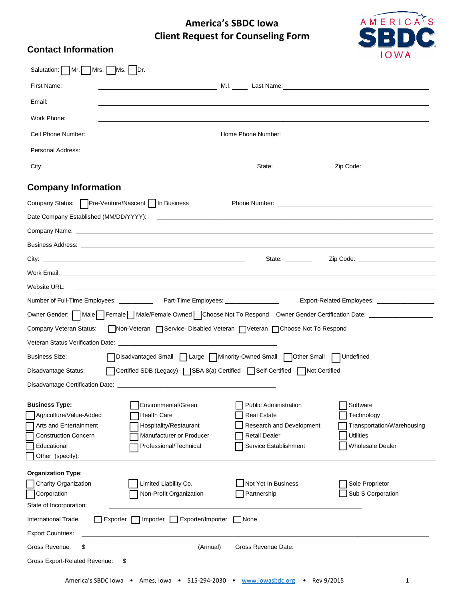## **America's SBDC Iowa Client Request for Counseling Form**



## **Contact Information**

| Salutation:   Mr.                                                                                                                            | $Mrs.$ Ms. $ Dr.$                                                                                                         |                                                                                                                          |                                                                                                                                                                                                                                |
|----------------------------------------------------------------------------------------------------------------------------------------------|---------------------------------------------------------------------------------------------------------------------------|--------------------------------------------------------------------------------------------------------------------------|--------------------------------------------------------------------------------------------------------------------------------------------------------------------------------------------------------------------------------|
| First Name:                                                                                                                                  |                                                                                                                           |                                                                                                                          |                                                                                                                                                                                                                                |
| Email:                                                                                                                                       |                                                                                                                           |                                                                                                                          |                                                                                                                                                                                                                                |
| Work Phone:                                                                                                                                  |                                                                                                                           |                                                                                                                          |                                                                                                                                                                                                                                |
| Cell Phone Number:                                                                                                                           |                                                                                                                           |                                                                                                                          |                                                                                                                                                                                                                                |
| Personal Address:                                                                                                                            |                                                                                                                           |                                                                                                                          |                                                                                                                                                                                                                                |
| City:                                                                                                                                        |                                                                                                                           | State:                                                                                                                   | Zip Code:                                                                                                                                                                                                                      |
| <b>Company Information</b>                                                                                                                   |                                                                                                                           |                                                                                                                          |                                                                                                                                                                                                                                |
| Company Status: Pre-Venture/Nascent   In Business                                                                                            |                                                                                                                           |                                                                                                                          |                                                                                                                                                                                                                                |
|                                                                                                                                              |                                                                                                                           |                                                                                                                          |                                                                                                                                                                                                                                |
|                                                                                                                                              |                                                                                                                           |                                                                                                                          |                                                                                                                                                                                                                                |
|                                                                                                                                              |                                                                                                                           |                                                                                                                          |                                                                                                                                                                                                                                |
|                                                                                                                                              |                                                                                                                           | State: _________                                                                                                         | Zip Code: __________________________                                                                                                                                                                                           |
|                                                                                                                                              |                                                                                                                           |                                                                                                                          |                                                                                                                                                                                                                                |
| Website URL:                                                                                                                                 |                                                                                                                           |                                                                                                                          |                                                                                                                                                                                                                                |
|                                                                                                                                              | Number of Full-Time Employees: ______________ Part-Time Employees: ______________                                         |                                                                                                                          | Export-Related Employees: __________________                                                                                                                                                                                   |
|                                                                                                                                              | Owner Gender: Male Female Male/Female Owned Choose Not To Respond Owner Gender Certification Date: ___________            |                                                                                                                          |                                                                                                                                                                                                                                |
| Company Veteran Status:                                                                                                                      | Non-Veteran Service-Disabled Veteran Veteran Choose Not To Respond                                                        |                                                                                                                          |                                                                                                                                                                                                                                |
|                                                                                                                                              |                                                                                                                           |                                                                                                                          |                                                                                                                                                                                                                                |
| <b>Business Size:</b>                                                                                                                        | □ Disadvantaged Small □ Large □ Minority-Owned Small □ Other Small □ Undefined                                            |                                                                                                                          |                                                                                                                                                                                                                                |
| Disadvantage Status:                                                                                                                         | □ Certified SDB (Legacy) □ SBA 8(a) Certified □ Self-Certified □ Not Certified                                            |                                                                                                                          |                                                                                                                                                                                                                                |
|                                                                                                                                              |                                                                                                                           |                                                                                                                          |                                                                                                                                                                                                                                |
| <b>Business Type:</b><br>Agriculture/Value-Added<br>Arts and Entertainment<br><b>Construction Concern</b><br>Educational<br>Other (specify): | Environmental/Green<br><b>Health Care</b><br>Hospitality/Restaurant<br>Manufacturer or Producer<br>Professional/Technical | Public Administration<br><b>Real Estate</b><br>Research and Development<br><b>Retail Dealer</b><br>Service Establishment | Software<br>Technology<br>Transportation/Warehousing<br><b>Utilities</b><br><b>Wholesale Dealer</b>                                                                                                                            |
| <b>Organization Type:</b><br>Charity Organization<br>Corporation<br>State of Incorporation:                                                  | Limited Liability Co.<br>Non-Profit Organization                                                                          | Not Yet In Business<br>Partnership                                                                                       | Sole Proprietor<br>Sub S Corporation                                                                                                                                                                                           |
| International Trade:                                                                                                                         | Importer   Exporter/Importer<br><b>□ Exporter</b>                                                                         | None                                                                                                                     |                                                                                                                                                                                                                                |
| <b>Export Countries:</b>                                                                                                                     |                                                                                                                           |                                                                                                                          |                                                                                                                                                                                                                                |
| Gross Revenue:<br>\$                                                                                                                         | <u> 1990 - Johann Barbara, martxa a</u><br>(Annual)                                                                       |                                                                                                                          | Gross Revenue Date: New York School and School and School and School and School and School and School and School and School and School and School and School and School and School and School and School and School and School |
| Gross Export-Related Revenue:                                                                                                                | \$_                                                                                                                       |                                                                                                                          |                                                                                                                                                                                                                                |
|                                                                                                                                              | America's SBDC lowa . Ames, Iowa . 515-294-2030 . www.iowasbdc.org . Rev 9/2015                                           |                                                                                                                          | 1                                                                                                                                                                                                                              |